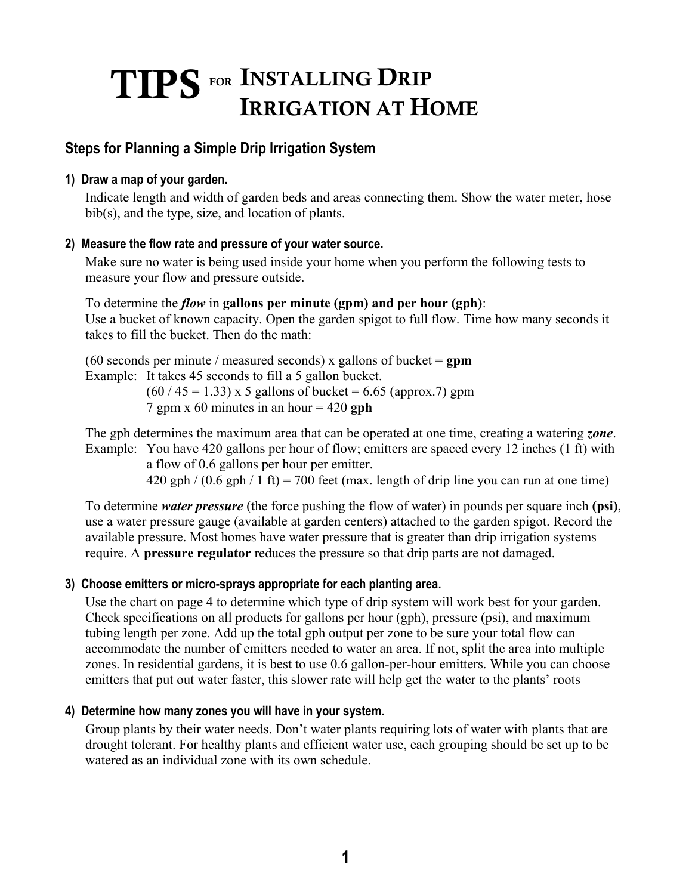# TIPS FOR INSTALLING DRIP IRRIGATION AT HOME

## **Steps for Planning a Simple Drip Irrigation System**

#### **1) Draw a map of your garden.**

Indicate length and width of garden beds and areas connecting them. Show the water meter, hose bib(s), and the type, size, and location of plants.

#### **2) Measure the flow rate and pressure of your water source.**

Make sure no water is being used inside your home when you perform the following tests to measure your flow and pressure outside.

#### To determine the *flow* in **gallons per minute (gpm) and per hour (gph)**: Use a bucket of known capacity. Open the garden spigot to full flow. Time how many seconds it

takes to fill the bucket. Then do the math:

(60 seconds per minute / measured seconds) x gallons of bucket = **gpm**  Example: It takes 45 seconds to fill a 5 gallon bucket.

 $(60 / 45 = 1.33)$  x 5 gallons of bucket = 6.65 (approx.7) gpm 7 gpm x 60 minutes in an hour = 420 **gph** 

The gph determines the maximum area that can be operated at one time, creating a watering *zone*. Example: You have 420 gallons per hour of flow; emitters are spaced every 12 inches (1 ft) with

a flow of 0.6 gallons per hour per emitter.

 $420$  gph  $/(0.6$  gph  $/ 1$  ft) = 700 feet (max. length of drip line you can run at one time)

To determine *water pressure* (the force pushing the flow of water) in pounds per square inch **(psi)**, use a water pressure gauge (available at garden centers) attached to the garden spigot. Record the available pressure. Most homes have water pressure that is greater than drip irrigation systems require. A **pressure regulator** reduces the pressure so that drip parts are not damaged.

#### **3) Choose emitters or micro-sprays appropriate for each planting area.**

Use the chart on page 4 to determine which type of drip system will work best for your garden. Check specifications on all products for gallons per hour (gph), pressure (psi), and maximum tubing length per zone. Add up the total gph output per zone to be sure your total flow can accommodate the number of emitters needed to water an area. If not, split the area into multiple zones. In residential gardens, it is best to use 0.6 gallon-per-hour emitters. While you can choose emitters that put out water faster, this slower rate will help get the water to the plants' roots

#### **4) Determine how many zones you will have in your system.**

Group plants by their water needs. Don't water plants requiring lots of water with plants that are drought tolerant. For healthy plants and efficient water use, each grouping should be set up to be watered as an individual zone with its own schedule.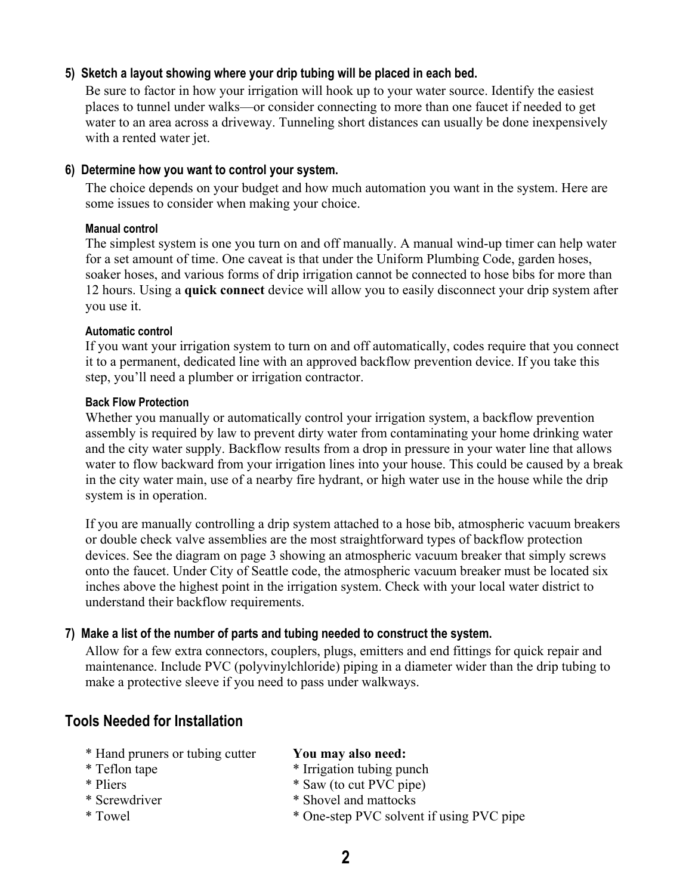#### **5) Sketch a layout showing where your drip tubing will be placed in each bed.**

Be sure to factor in how your irrigation will hook up to your water source. Identify the easiest places to tunnel under walks—or consider connecting to more than one faucet if needed to get water to an area across a driveway. Tunneling short distances can usually be done inexpensively with a rented water jet.

#### **6) Determine how you want to control your system.**

The choice depends on your budget and how much automation you want in the system. Here are some issues to consider when making your choice.

#### **Manual control**

The simplest system is one you turn on and off manually. A manual wind-up timer can help water for a set amount of time. One caveat is that under the Uniform Plumbing Code, garden hoses, soaker hoses, and various forms of drip irrigation cannot be connected to hose bibs for more than 12 hours. Using a **quick connect** device will allow you to easily disconnect your drip system after you use it.

#### **Automatic control**

If you want your irrigation system to turn on and off automatically, codes require that you connect it to a permanent, dedicated line with an approved backflow prevention device. If you take this step, you'll need a plumber or irrigation contractor.

#### **Back Flow Protection**

Whether you manually or automatically control your irrigation system, a backflow prevention assembly is required by law to prevent dirty water from contaminating your home drinking water and the city water supply. Backflow results from a drop in pressure in your water line that allows water to flow backward from your irrigation lines into your house. This could be caused by a break in the city water main, use of a nearby fire hydrant, or high water use in the house while the drip system is in operation.

If you are manually controlling a drip system attached to a hose bib, atmospheric vacuum breakers or double check valve assemblies are the most straightforward types of backflow protection devices. See the diagram on page 3 showing an atmospheric vacuum breaker that simply screws onto the faucet. Under City of Seattle code, the atmospheric vacuum breaker must be located six inches above the highest point in the irrigation system. Check with your local water district to understand their backflow requirements.

#### **7) Make a list of the number of parts and tubing needed to construct the system.**

Allow for a few extra connectors, couplers, plugs, emitters and end fittings for quick repair and maintenance. Include PVC (polyvinylchloride) piping in a diameter wider than the drip tubing to make a protective sleeve if you need to pass under walkways.

#### **Tools Needed for Installation**

- \* Hand pruners or tubing cutter **You may also need:**
- 
- 
- 
- 
- 
- \* Teflon tape \* Irrigation tubing punch
- \* Pliers \* Saw (to cut PVC pipe)
- \* Screwdriver \* Shovel and mattocks
- \* Towel \* One-step PVC solvent if using PVC pipe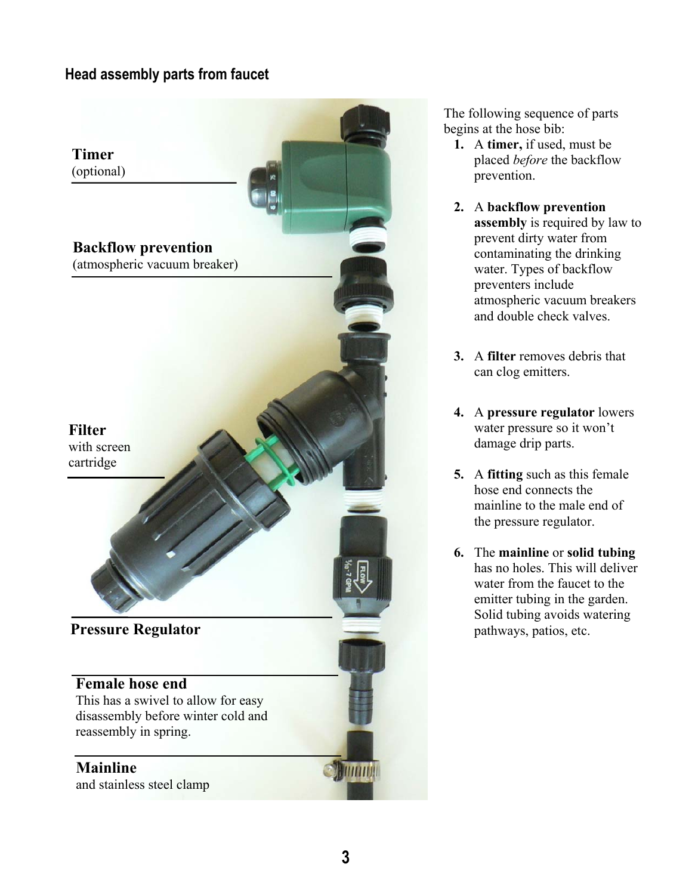## **Head assembly parts from faucet**



The following sequence of parts begins at the hose bib:

- **1.** A **timer,** if used, must be placed *before* the backflow prevention.
- **2.** A **backflow prevention assembly** is required by law to prevent dirty water from contaminating the drinking water. Types of backflow preventers include atmospheric vacuum breakers and double check valves.
- **3.** A **filter** removes debris that can clog emitters.
- **4.** A **pressure regulator** lowers water pressure so it won't damage drip parts.
- **5.** A **fitting** such as this female hose end connects the mainline to the male end of the pressure regulator.
- **6.** The **mainline** or **solid tubing** has no holes. This will deliver water from the faucet to the emitter tubing in the garden. Solid tubing avoids watering pathways, patios, etc.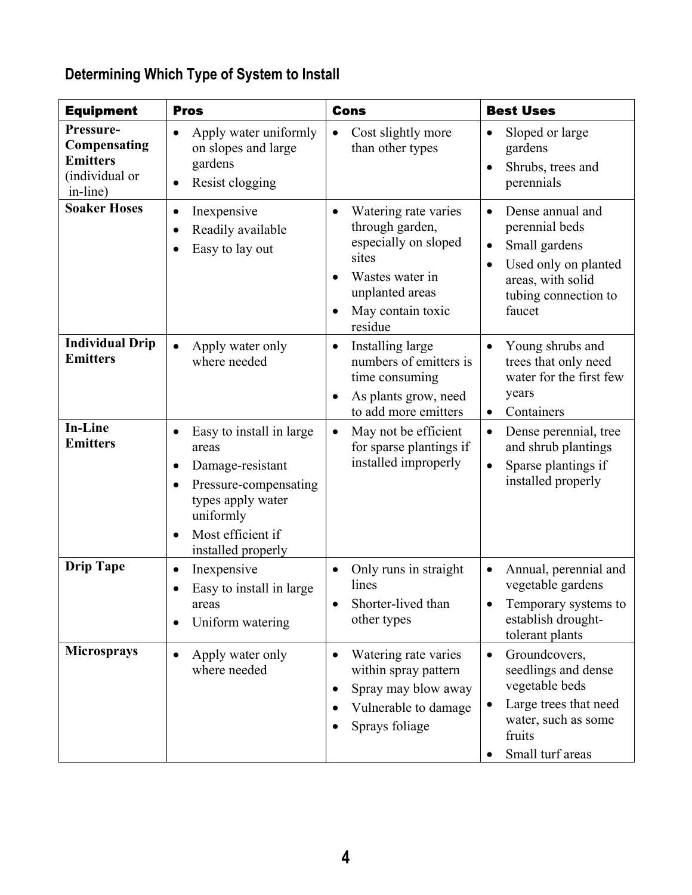| <b>Equipment</b>                                                           | <b>Pros</b>                                                                                                                                                                           | <b>Cons</b>                                                                                                                                                 | <b>Best Uses</b>                                                                                                                                                          |
|----------------------------------------------------------------------------|---------------------------------------------------------------------------------------------------------------------------------------------------------------------------------------|-------------------------------------------------------------------------------------------------------------------------------------------------------------|---------------------------------------------------------------------------------------------------------------------------------------------------------------------------|
| Pressure-<br>Compensating<br><b>Emitters</b><br>(individual or<br>in-line) | Apply water uniformly<br>on slopes and large<br>gardens<br>Resist clogging                                                                                                            | Cost slightly more<br>$\bullet$<br>than other types                                                                                                         | Sloped or large<br>$\bullet$<br>gardens<br>Shrubs, trees and<br>$\bullet$<br>perennials                                                                                   |
| <b>Soaker Hoses</b>                                                        | Inexpensive<br>Readily available<br>Easy to lay out                                                                                                                                   | Watering rate varies<br>$\bullet$<br>through garden,<br>especially on sloped<br>sites<br>Wastes water in<br>unplanted areas<br>May contain toxic<br>residue | Dense annual and<br>$\bullet$<br>perennial beds<br>Small gardens<br>$\bullet$<br>Used only on planted<br>$\bullet$<br>areas, with solid<br>tubing connection to<br>faucet |
| <b>Individual Drip</b><br><b>Emitters</b>                                  | Apply water only<br>where needed                                                                                                                                                      | Installing large<br>$\bullet$<br>numbers of emitters is<br>time consuming<br>As plants grow, need<br>$\bullet$<br>to add more emitters                      | Young shrubs and<br>$\bullet$<br>trees that only need<br>water for the first few<br>years<br>Containers<br>$\bullet$                                                      |
| <b>In-Line</b><br><b>Emitters</b>                                          | Easy to install in large<br>$\bullet$<br>areas<br>Damage-resistant<br>$\bullet$<br>Pressure-compensating<br>types apply water<br>uniformly<br>Most efficient if<br>installed properly | May not be efficient<br>$\bullet$<br>for sparse plantings if<br>installed improperly                                                                        | Dense perennial, tree<br>$\bullet$<br>and shrub plantings<br>Sparse plantings if<br>$\bullet$<br>installed properly                                                       |
| <b>Drip Tape</b>                                                           | Inexpensive<br>$\bullet$<br>Easy to install in large<br>areas<br>Uniform watering                                                                                                     | Only runs in straight<br>$\bullet$<br>lines<br>Shorter-lived than<br>other types                                                                            | Annual, perennial and<br>$\bullet$<br>vegetable gardens<br>Temporary systems to<br>establish drought-<br>tolerant plants                                                  |
| <b>Microsprays</b>                                                         | Apply water only<br>where needed                                                                                                                                                      | Watering rate varies<br>$\bullet$<br>within spray pattern<br>Spray may blow away<br>Vulnerable to damage<br>Sprays foliage                                  | Groundcovers,<br>$\bullet$<br>seedlings and dense<br>vegetable beds<br>Large trees that need<br>$\bullet$<br>water, such as some<br>fruits<br>Small turf areas            |

## **Determining Which Type of System to Install**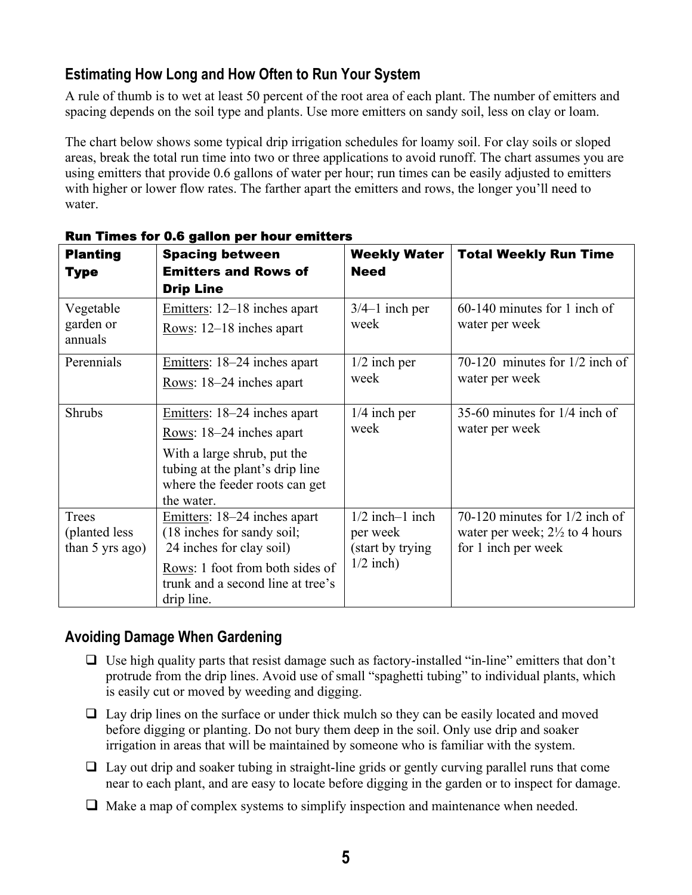## **Estimating How Long and How Often to Run Your System**

A rule of thumb is to wet at least 50 percent of the root area of each plant. The number of emitters and spacing depends on the soil type and plants. Use more emitters on sandy soil, less on clay or loam.

The chart below shows some typical drip irrigation schedules for loamy soil. For clay soils or sloped areas, break the total run time into two or three applications to avoid runoff. The chart assumes you are using emitters that provide 0.6 gallons of water per hour; run times can be easily adjusted to emitters with higher or lower flow rates. The farther apart the emitters and rows, the longer you'll need to water.

| <b>Planting</b><br><b>Type</b>               | <b>Spacing between</b><br><b>Emitters and Rows of</b><br><b>Drip Line</b>                                                                                                    | <b>Weekly Water</b><br><b>Need</b>                                | <b>Total Weekly Run Time</b>                                                                         |
|----------------------------------------------|------------------------------------------------------------------------------------------------------------------------------------------------------------------------------|-------------------------------------------------------------------|------------------------------------------------------------------------------------------------------|
| Vegetable<br>garden or<br>annuals            | Emitters: 12–18 inches apart<br>Rows: 12–18 inches apart                                                                                                                     | $3/4-1$ inch per<br>week                                          | 60-140 minutes for 1 inch of<br>water per week                                                       |
| Perennials                                   | Emitters: 18–24 inches apart<br>Rows: 18–24 inches apart                                                                                                                     | $1/2$ inch per<br>week                                            | $70-120$ minutes for $1/2$ inch of<br>water per week                                                 |
| <b>Shrubs</b>                                | Emitters: 18–24 inches apart<br>Rows: $18-24$ inches apart<br>With a large shrub, put the<br>tubing at the plant's drip line<br>where the feeder roots can get<br>the water. | $1/4$ inch per<br>week                                            | 35-60 minutes for $1/4$ inch of<br>water per week                                                    |
| Trees<br>(planted less)<br>than $5$ yrs ago) | Emitters: 18–24 inches apart<br>(18 inches for sandy soil;<br>24 inches for clay soil)<br>Rows: 1 foot from both sides of<br>trunk and a second line at tree's<br>drip line. | $1/2$ inch-1 inch<br>per week<br>(start by trying)<br>$1/2$ inch) | 70-120 minutes for $1/2$ inch of<br>water per week; $2\frac{1}{2}$ to 4 hours<br>for 1 inch per week |

#### Run Times for 0.6 gallon per hour emitters

## **Avoiding Damage When Gardening**

- $\Box$  Use high quality parts that resist damage such as factory-installed "in-line" emitters that don't protrude from the drip lines. Avoid use of small "spaghetti tubing" to individual plants, which is easily cut or moved by weeding and digging.
- $\Box$  Lay drip lines on the surface or under thick mulch so they can be easily located and moved before digging or planting. Do not bury them deep in the soil. Only use drip and soaker irrigation in areas that will be maintained by someone who is familiar with the system.
- $\Box$  Lay out drip and soaker tubing in straight-line grids or gently curving parallel runs that come near to each plant, and are easy to locate before digging in the garden or to inspect for damage.
- $\Box$  Make a map of complex systems to simplify inspection and maintenance when needed.